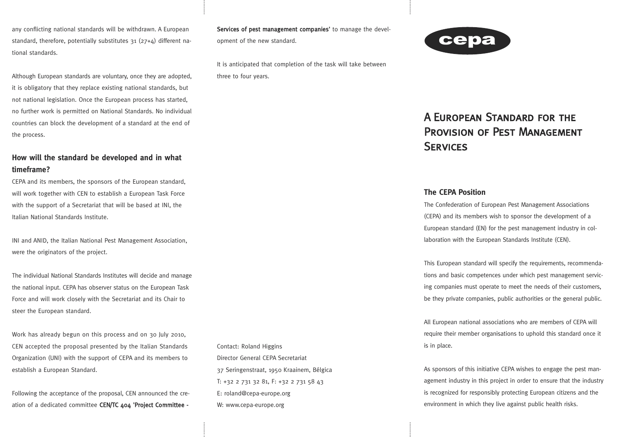any conflicting national standards will be withdrawn. A European standard, therefore, potentially substitutes  $31$  ( $27+A$ ) different national standards.

Although European standards are voluntary, once they are adopted, it is obligatory that they replace existing national standards, but not national legislation. Once the European process has started, no further work is permitted on National Standards. No individual countries can block the development of a standard at the end of the process.

# **How will the standard be developed and in what timeframe?**

CEPA and its members, the sponsors of the European standard, will work together with CEN to establish a European Task Force with the support of a Secretariat that will be based at INI, the Italian National Standards Institute.

INI and ANID, the Italian National Pest Management Association, were the originators of the project.

The individual National Standards Institutes will decide and manage the national input. CEPA has observer status on the European Task Force and will work closely with the Secretariat and its Chair to steer the European standard.

Work has already begun on this process and on 30 July 2010, CEN accepted the proposal presented by the Italian Standards Organization (UNI) with the support of CEPA and its members to establish a European Standard.

Following the acceptance of the proposal, CEN announced the creation of a dedicated committee CEN/TC 404 'Project Committee - Services of pest management companies' to manage the development of the new standard.

It is anticipated that completion of the task will take between three to four years.



# A European Standard for the Provision of Pest Management **SERVICES**

### **The CEPA Position**

The Confederation of European Pest Management Associations (CEPA) and its members wish to sponsor the development of a European standard (EN) for the pest management industry in collaboration with the European Standards Institute (CEN).

This European standard will specify the requirements, recommendations and basic competences under which pest management servicing companies must operate to meet the needs of their customers, be they private companies, public authorities or the general public.

All European national associations who are members of CEPA will require their member organisations to uphold this standard once it is in place.

As sponsors of this initiative CEPA wishes to engage the pest management industry in this project in order to ensure that the industry is recognized for responsibly protecting European citizens and the environment in which they live against public health risks.

Contact: Roland Higgins Director General CEPA Secretariat 37 Seringenstraat, 1950 Kraainem, Bélgica T: +32 2 731 32 81, F: +32 2 731 58 43 E: roland@cepa-europe.org W: www.cepa-europe.org